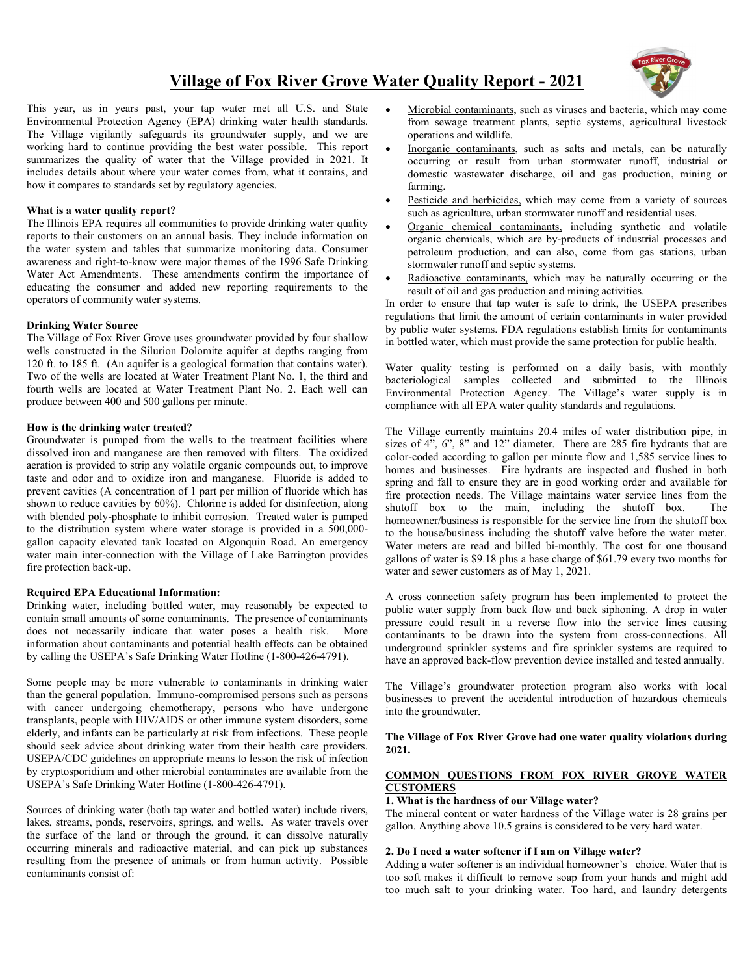## **Village of Fox River Grove Water Quality Report - 2021**



This year, as in years past, your tap water met all U.S. and State Environmental Protection Agency (EPA) drinking water health standards. The Village vigilantly safeguards its groundwater supply, and we are working hard to continue providing the best water possible. This report summarizes the quality of water that the Village provided in 2021. It includes details about where your water comes from, what it contains, and how it compares to standards set by regulatory agencies.

#### **What is a water quality report?**

The Illinois EPA requires all communities to provide drinking water quality reports to their customers on an annual basis. They include information on the water system and tables that summarize monitoring data. Consumer awareness and right-to-know were major themes of the 1996 Safe Drinking Water Act Amendments. These amendments confirm the importance of educating the consumer and added new reporting requirements to the operators of community water systems.

#### **Drinking Water Source**

The Village of Fox River Grove uses groundwater provided by four shallow wells constructed in the Silurion Dolomite aquifer at depths ranging from 120 ft. to 185 ft. (An aquifer is a geological formation that contains water). Two of the wells are located at Water Treatment Plant No. 1, the third and fourth wells are located at Water Treatment Plant No. 2. Each well can produce between 400 and 500 gallons per minute.

#### **How is the drinking water treated?**

Groundwater is pumped from the wells to the treatment facilities where dissolved iron and manganese are then removed with filters. The oxidized aeration is provided to strip any volatile organic compounds out, to improve taste and odor and to oxidize iron and manganese. Fluoride is added to prevent cavities (A concentration of 1 part per million of fluoride which has shown to reduce cavities by 60%). Chlorine is added for disinfection, along with blended poly-phosphate to inhibit corrosion. Treated water is pumped to the distribution system where water storage is provided in a 500,000 gallon capacity elevated tank located on Algonquin Road. An emergency water main inter-connection with the Village of Lake Barrington provides fire protection back-up.

#### **Required EPA Educational Information:**

Drinking water, including bottled water, may reasonably be expected to contain small amounts of some contaminants. The presence of contaminants does not necessarily indicate that water poses a health risk. More information about contaminants and potential health effects can be obtained by calling the USEPA's Safe Drinking Water Hotline (1-800-426-4791).

Some people may be more vulnerable to contaminants in drinking water than the general population. Immuno-compromised persons such as persons with cancer undergoing chemotherapy, persons who have undergone transplants, people with HIV/AIDS or other immune system disorders, some elderly, and infants can be particularly at risk from infections. These people should seek advice about drinking water from their health care providers. USEPA/CDC guidelines on appropriate means to lesson the risk of infection by cryptosporidium and other microbial contaminates are available from the USEPA's Safe Drinking Water Hotline (1-800-426-4791).

Sources of drinking water (both tap water and bottled water) include rivers, lakes, streams, ponds, reservoirs, springs, and wells. As water travels over the surface of the land or through the ground, it can dissolve naturally occurring minerals and radioactive material, and can pick up substances resulting from the presence of animals or from human activity. Possible contaminants consist of:

- Microbial contaminants, such as viruses and bacteria, which may come from sewage treatment plants, septic systems, agricultural livestock operations and wildlife.
- Inorganic contaminants, such as salts and metals, can be naturally occurring or result from urban stormwater runoff, industrial or domestic wastewater discharge, oil and gas production, mining or farming.
- Pesticide and herbicides, which may come from a variety of sources such as agriculture, urban stormwater runoff and residential uses.
- Organic chemical contaminants, including synthetic and volatile organic chemicals, which are by-products of industrial processes and petroleum production, and can also, come from gas stations, urban stormwater runoff and septic systems.
- Radioactive contaminants, which may be naturally occurring or the result of oil and gas production and mining activities.

In order to ensure that tap water is safe to drink, the USEPA prescribes regulations that limit the amount of certain contaminants in water provided by public water systems. FDA regulations establish limits for contaminants in bottled water, which must provide the same protection for public health.

Water quality testing is performed on a daily basis, with monthly bacteriological samples collected and submitted to the Illinois Environmental Protection Agency. The Village's water supply is in compliance with all EPA water quality standards and regulations.

The Village currently maintains 20.4 miles of water distribution pipe, in sizes of 4", 6", 8" and 12" diameter. There are 285 fire hydrants that are color-coded according to gallon per minute flow and 1,585 service lines to homes and businesses. Fire hydrants are inspected and flushed in both spring and fall to ensure they are in good working order and available for fire protection needs. The Village maintains water service lines from the shutoff box to the main, including the shutoff box. The homeowner/business is responsible for the service line from the shutoff box to the house/business including the shutoff valve before the water meter. Water meters are read and billed bi-monthly. The cost for one thousand gallons of water is \$9.18 plus a base charge of \$61.79 every two months for water and sewer customers as of May 1, 2021.

A cross connection safety program has been implemented to protect the public water supply from back flow and back siphoning. A drop in water pressure could result in a reverse flow into the service lines causing contaminants to be drawn into the system from cross-connections. All underground sprinkler systems and fire sprinkler systems are required to have an approved back-flow prevention device installed and tested annually.

The Village's groundwater protection program also works with local businesses to prevent the accidental introduction of hazardous chemicals into the groundwater.

#### **The Village of Fox River Grove had one water quality violations during 2021.**

#### **COMMON QUESTIONS FROM FOX RIVER GROVE WATER CUSTOMERS**

#### **1. What is the hardness of our Village water?**

The mineral content or water hardness of the Village water is 28 grains per gallon. Anything above 10.5 grains is considered to be very hard water.

#### **2. Do I need a water softener if I am on Village water?**

Adding a water softener is an individual homeowner's choice. Water that is too soft makes it difficult to remove soap from your hands and might add too much salt to your drinking water. Too hard, and laundry detergents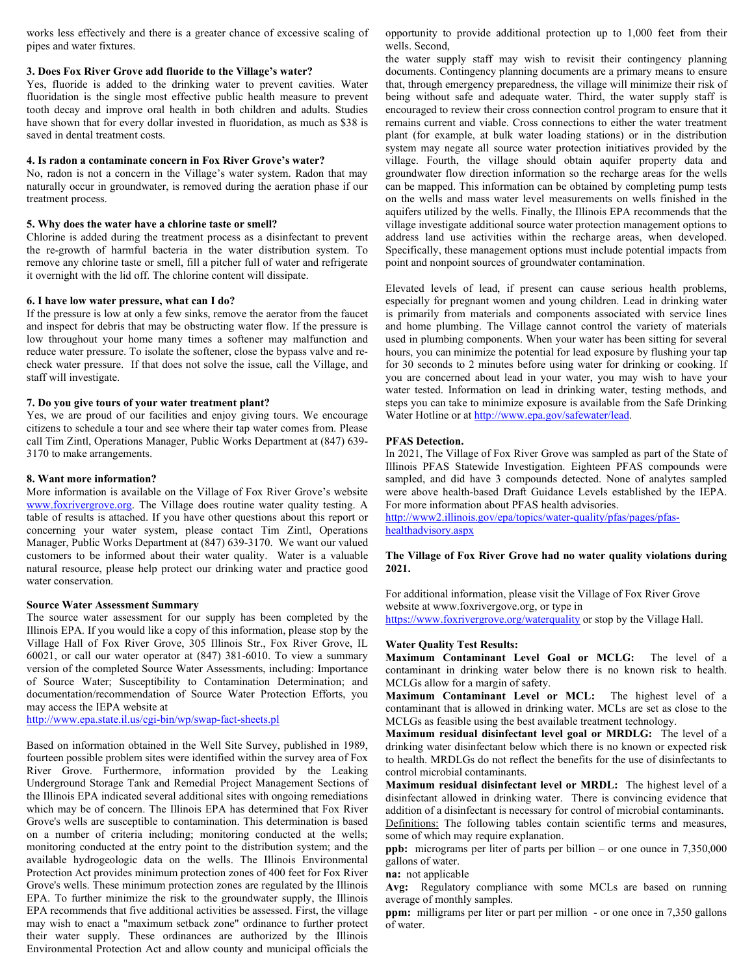works less effectively and there is a greater chance of excessive scaling of pipes and water fixtures.

#### **3. Does Fox River Grove add fluoride to the Village's water?**

Yes, fluoride is added to the drinking water to prevent cavities. Water fluoridation is the single most effective public health measure to prevent tooth decay and improve oral health in both children and adults. Studies have shown that for every dollar invested in fluoridation, as much as \$38 is saved in dental treatment costs.

#### **4. Is radon a contaminate concern in Fox River Grove's water?**

No, radon is not a concern in the Village's water system. Radon that may naturally occur in groundwater, is removed during the aeration phase if our treatment process.

#### **5. Why does the water have a chlorine taste or smell?**

Chlorine is added during the treatment process as a disinfectant to prevent the re-growth of harmful bacteria in the water distribution system. To remove any chlorine taste or smell, fill a pitcher full of water and refrigerate it overnight with the lid off. The chlorine content will dissipate.

#### **6. I have low water pressure, what can I do?**

If the pressure is low at only a few sinks, remove the aerator from the faucet and inspect for debris that may be obstructing water flow. If the pressure is low throughout your home many times a softener may malfunction and reduce water pressure. To isolate the softener, close the bypass valve and recheck water pressure. If that does not solve the issue, call the Village, and staff will investigate.

#### **7. Do you give tours of your water treatment plant?**

Yes, we are proud of our facilities and enjoy giving tours. We encourage citizens to schedule a tour and see where their tap water comes from. Please call Tim Zintl, Operations Manager, Public Works Department at (847) 639- 3170 to make arrangements.

#### **8. Want more information?**

More information is available on the Village of Fox River Grove's website [www.foxrivergrove.org.](http://www.foxrivergrove.org/) The Village does routine water quality testing. A table of results is attached. If you have other questions about this report or concerning your water system, please contact Tim Zintl, Operations Manager, Public Works Department at (847) 639-3170. We want our valued customers to be informed about their water quality. Water is a valuable natural resource, please help protect our drinking water and practice good water conservation.

#### **Source Water Assessment Summary**

The source water assessment for our supply has been completed by the Illinois EPA. If you would like a copy of this information, please stop by the Village Hall of Fox River Grove, 305 Illinois Str., Fox River Grove, IL 60021, or call our water operator at (847) 381-6010. To view a summary version of the completed Source Water Assessments, including: Importance of Source Water; Susceptibility to Contamination Determination; and documentation/recommendation of Source Water Protection Efforts, you may access the IEPA website at

<http://www.epa.state.il.us/cgi-bin/wp/swap-fact-sheets.pl>

Based on information obtained in the Well Site Survey, published in 1989, fourteen possible problem sites were identified within the survey area of Fox River Grove. Furthermore, information provided by the Leaking Underground Storage Tank and Remedial Project Management Sections of the Illinois EPA indicated several additional sites with ongoing remediations which may be of concern. The Illinois EPA has determined that Fox River Grove's wells are susceptible to contamination. This determination is based on a number of criteria including; monitoring conducted at the wells; monitoring conducted at the entry point to the distribution system; and the available hydrogeologic data on the wells. The Illinois Environmental Protection Act provides minimum protection zones of 400 feet for Fox River Grove's wells. These minimum protection zones are regulated by the Illinois EPA. To further minimize the risk to the groundwater supply, the Illinois EPA recommends that five additional activities be assessed. First, the village may wish to enact a "maximum setback zone" ordinance to further protect their water supply. These ordinances are authorized by the Illinois Environmental Protection Act and allow county and municipal officials the

opportunity to provide additional protection up to 1,000 feet from their wells. Second,

the water supply staff may wish to revisit their contingency planning documents. Contingency planning documents are a primary means to ensure that, through emergency preparedness, the village will minimize their risk of being without safe and adequate water. Third, the water supply staff is encouraged to review their cross connection control program to ensure that it remains current and viable. Cross connections to either the water treatment plant (for example, at bulk water loading stations) or in the distribution system may negate all source water protection initiatives provided by the village. Fourth, the village should obtain aquifer property data and groundwater flow direction information so the recharge areas for the wells can be mapped. This information can be obtained by completing pump tests on the wells and mass water level measurements on wells finished in the aquifers utilized by the wells. Finally, the Illinois EPA recommends that the village investigate additional source water protection management options to address land use activities within the recharge areas, when developed. Specifically, these management options must include potential impacts from point and nonpoint sources of groundwater contamination.

Elevated levels of lead, if present can cause serious health problems, especially for pregnant women and young children. Lead in drinking water is primarily from materials and components associated with service lines and home plumbing. The Village cannot control the variety of materials used in plumbing components. When your water has been sitting for several hours, you can minimize the potential for lead exposure by flushing your tap for 30 seconds to 2 minutes before using water for drinking or cooking. If you are concerned about lead in your water, you may wish to have your water tested. Information on lead in drinking water, testing methods, and steps you can take to minimize exposure is available from the Safe Drinking Water Hotline or a[t http://www.epa.gov/safewater/lead.](http://www.epa.gov/safewater/lead)

#### **PFAS Detection.**

In 2021, The Village of Fox River Grove was sampled as part of the State of Illinois PFAS Statewide Investigation. Eighteen PFAS compounds were sampled, and did have 3 compounds detected. None of analytes sampled were above health-based Draft Guidance Levels established by the IEPA. For more information about PFAS health advisories.

[http://www2.illinois.gov/epa/topics/water-quality/pfas/pages/pfas](http://www2.illinois.gov/epa/topics/water-quality/pfas/pages/pfas-healthadvisory.aspx)[healthadvisory.aspx](http://www2.illinois.gov/epa/topics/water-quality/pfas/pages/pfas-healthadvisory.aspx)

#### **The Village of Fox River Grove had no water quality violations during 2021.**

For additional information, please visit the Village of Fox River Grove website at www.foxrivergove.org, or type in

<https://www.foxrivergrove.org/waterquality> or stop by the Village Hall.

#### **Water Quality Test Results:**

**Maximum Contaminant Level Goal or MCLG:** The level of a contaminant in drinking water below there is no known risk to health. MCLGs allow for a margin of safety.

**Maximum Contaminant Level or MCL:** The highest level of a contaminant that is allowed in drinking water. MCLs are set as close to the MCLGs as feasible using the best available treatment technology.

**Maximum residual disinfectant level goal or MRDLG:** The level of a drinking water disinfectant below which there is no known or expected risk to health. MRDLGs do not reflect the benefits for the use of disinfectants to control microbial contaminants.

**Maximum residual disinfectant level or MRDL:** The highest level of a disinfectant allowed in drinking water. There is convincing evidence that addition of a disinfectant is necessary for control of microbial contaminants. Definitions: The following tables contain scientific terms and measures, some of which may require explanation.

**ppb:** micrograms per liter of parts per billion – or one ounce in 7,350,000 gallons of water.

**na:** not applicable

**Avg:** Regulatory compliance with some MCLs are based on running average of monthly samples.

**ppm:** milligrams per liter or part per million - or one once in 7,350 gallons of water.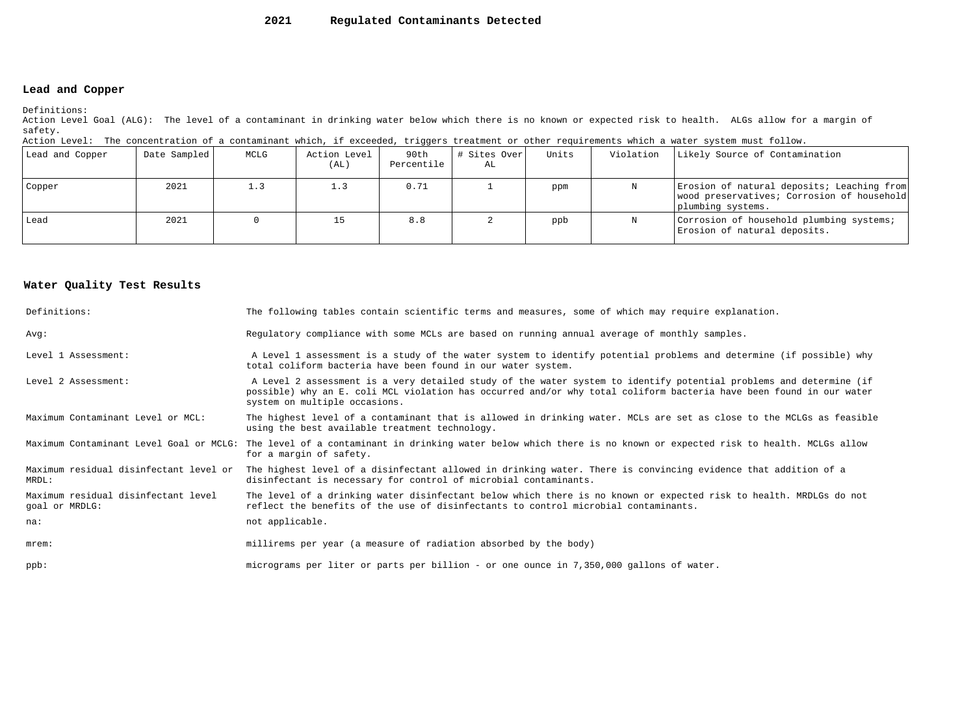#### **2021Regulated Contaminants Detected**

#### **Lead and Copper**

Definitions:

 Action Level Goal (ALG): The level of a contaminant in drinking water below which there is no known or expected risk to health. ALGs allow for a margin ofsafety.

| Action Level: The concentration of a contaminant which, if exceeded, triggers treatment or other requirements which a water system must follow. |  |  |  |  |  |
|-------------------------------------------------------------------------------------------------------------------------------------------------|--|--|--|--|--|
|                                                                                                                                                 |  |  |  |  |  |

| Lead and Copper | Date Sampled | MCLG | Action Level<br>(AL) | 90th<br>Percentile | # Sites Over<br>AL | Units | Violation | Likely Source of Contamination                                                                                |
|-----------------|--------------|------|----------------------|--------------------|--------------------|-------|-----------|---------------------------------------------------------------------------------------------------------------|
| Copper          | 2021         | 1.3  | 1.3                  | 0.71               |                    | ppm   |           | Erosion of natural deposits; Leaching from<br>wood preservatives; Corrosion of household<br>plumbing systems. |
| Lead            | 2021         |      |                      | 8.8                |                    | ppb   | N         | Corrosion of household plumbing systems;<br>Erosion of natural deposits.                                      |

#### **Water Quality Test Results**

| Definitions:                                          | The following tables contain scientific terms and measures, some of which may require explanation.                                                                                                                                                                         |
|-------------------------------------------------------|----------------------------------------------------------------------------------------------------------------------------------------------------------------------------------------------------------------------------------------------------------------------------|
| Avq:                                                  | Regulatory compliance with some MCLs are based on running annual average of monthly samples.                                                                                                                                                                               |
| Level 1 Assessment:                                   | A Level 1 assessment is a study of the water system to identify potential problems and determine (if possible) why<br>total coliform bacteria have been found in our water system.                                                                                         |
| Level 2 Assessment:                                   | A Level 2 assessment is a very detailed study of the water system to identify potential problems and determine (if<br>possible) why an E. coli MCL violation has occurred and/or why total coliform bacteria have been found in our water<br>system on multiple occasions. |
| Maximum Contaminant Level or MCL:                     | The highest level of a contaminant that is allowed in drinking water. MCLs are set as close to the MCLGs as feasible<br>using the best available treatment technology.                                                                                                     |
| Maximum Contaminant Level Goal or MCLG:               | The level of a contaminant in drinking water below which there is no known or expected risk to health. MCLGs allow<br>for a margin of safety.                                                                                                                              |
| Maximum residual disinfectant level or<br>MRDL:       | The highest level of a disinfectant allowed in drinking water. There is convincing evidence that addition of a<br>disinfectant is necessary for control of microbial contaminants.                                                                                         |
| Maximum residual disinfectant level<br>goal or MRDLG: | The level of a drinking water disinfectant below which there is no known or expected risk to health. MRDLGs do not<br>reflect the benefits of the use of disinfectants to control microbial contaminants.                                                                  |
| na:                                                   | not applicable.                                                                                                                                                                                                                                                            |
| $m$ rem:                                              | millirems per year (a measure of radiation absorbed by the body)                                                                                                                                                                                                           |
| $ppb$ :                                               | micrograms per liter or parts per billion - or one ounce in 7,350,000 gallons of water.                                                                                                                                                                                    |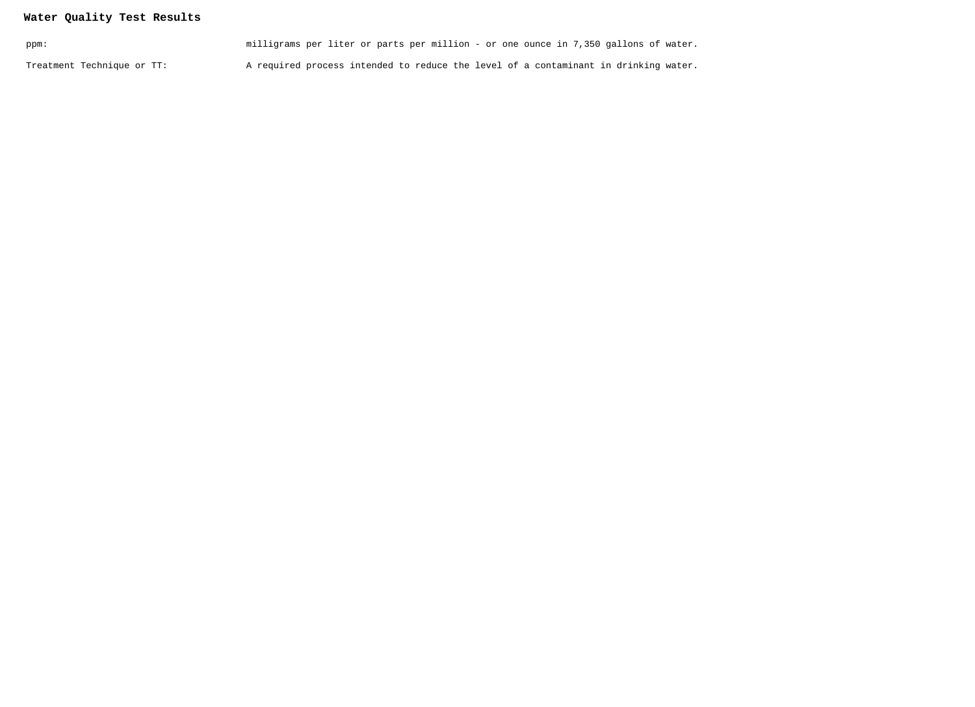### **Water Quality Test Results**

| ppm:                       | milligrams per liter or parts per million - or one ounce in 7,350 gallons of water. |
|----------------------------|-------------------------------------------------------------------------------------|
| Treatment Technique or TT: | A required process intended to reduce the level of a contaminant in drinking water. |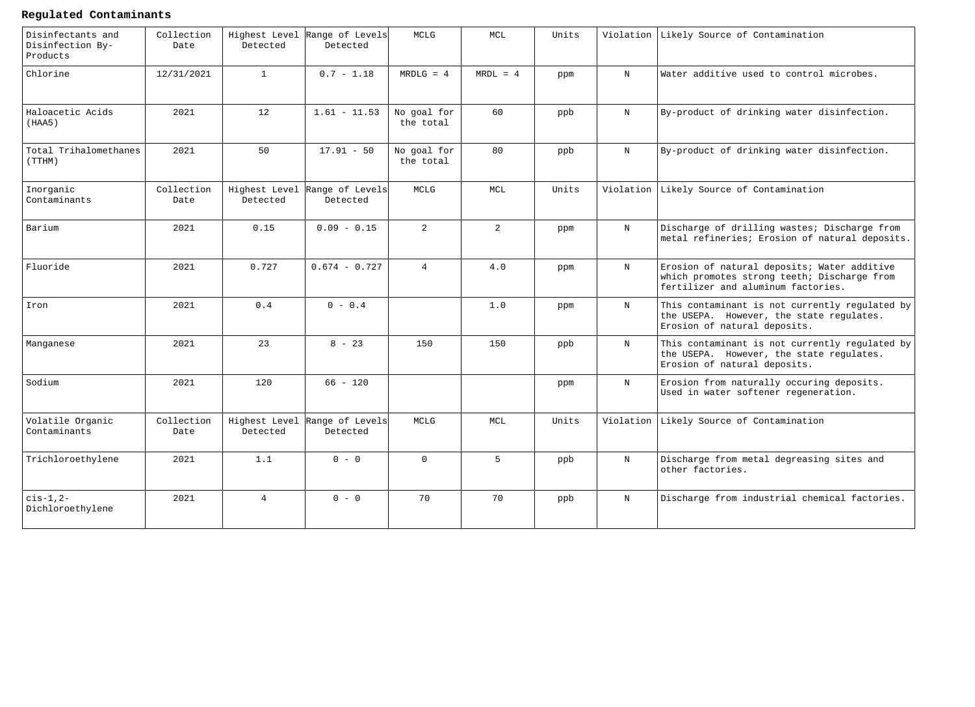### **Regulated Contaminants**

| Disinfectants and<br>Disinfection By-<br>Products | Collection<br>Date | Detected       | Highest Level Range of Levels<br>Detected | MCLG                     | MCL            | Units |             | Violation Likely Source of Contamination                                                                                         |
|---------------------------------------------------|--------------------|----------------|-------------------------------------------|--------------------------|----------------|-------|-------------|----------------------------------------------------------------------------------------------------------------------------------|
| Chlorine                                          | 12/31/2021         | $\mathbf{1}$   | $0.7 - 1.18$                              | $MRDLG = 4$              | $MRDL = 4$     | ppm   | $_{\rm N}$  | Water additive used to control microbes.                                                                                         |
| Haloacetic Acids<br>(HAA5)                        | 2021               | 12             | $1.61 - 11.53$                            | No goal for<br>the total | 60             | ppb   | $_{\rm N}$  | By-product of drinking water disinfection.                                                                                       |
| Total Trihalomethanes<br>(TTHM)                   | 2021               | 50             | $17.91 - 50$                              | No goal for<br>the total | 80             | ppb   | $_{\rm N}$  | By-product of drinking water disinfection.                                                                                       |
| Inorganic<br>Contaminants                         | Collection<br>Date | Detected       | Highest Level Range of Levels<br>Detected | MCLG                     | MCL            | Units | Violation   | Likely Source of Contamination                                                                                                   |
| Barium                                            | 2021               | 0.15           | $0.09 - 0.15$                             | $\overline{2}$           | $\overline{2}$ | ppm   | $_{\rm N}$  | Discharge of drilling wastes; Discharge from<br>metal refineries; Erosion of natural deposits.                                   |
| Fluoride                                          | 2021               | 0.727          | $0.674 - 0.727$                           | $\overline{4}$           | 4.0            | ppm   | $_{\rm N}$  | Erosion of natural deposits; Water additive<br>which promotes strong teeth; Discharge from<br>fertilizer and aluminum factories. |
| Iron                                              | 2021               | 0.4            | $0 - 0.4$                                 |                          | 1.0            | ppm   | $\mathbf N$ | This contaminant is not currently regulated by<br>the USEPA. However, the state regulates.<br>Erosion of natural deposits.       |
| Manganese                                         | 2021               | 23             | $8 - 23$                                  | 150                      | 150            | ppb   | $\mathbf N$ | This contaminant is not currently regulated by<br>the USEPA. However, the state regulates.<br>Erosion of natural deposits.       |
| Sodium                                            | 2021               | 120            | $66 - 120$                                |                          |                | ppm   | $_{\rm N}$  | Erosion from naturally occuring deposits.<br>Used in water softener regeneration.                                                |
| Volatile Organic<br>Contaminants                  | Collection<br>Date | Detected       | Highest Level Range of Levels<br>Detected | MCLG                     | MCL            | Units | Violation   | Likely Source of Contamination                                                                                                   |
| Trichloroethylene                                 | 2021               | 1.1            | $0 - 0$                                   | $\Omega$                 | $5^{\circ}$    | ppb   | $\mathbf N$ | Discharge from metal degreasing sites and<br>other factories.                                                                    |
| $cis-1, 2-$<br>Dichloroethylene                   | 2021               | $\overline{4}$ | $0 - 0$                                   | 70                       | 70             | ppb   | $_{\rm N}$  | Discharge from industrial chemical factories.                                                                                    |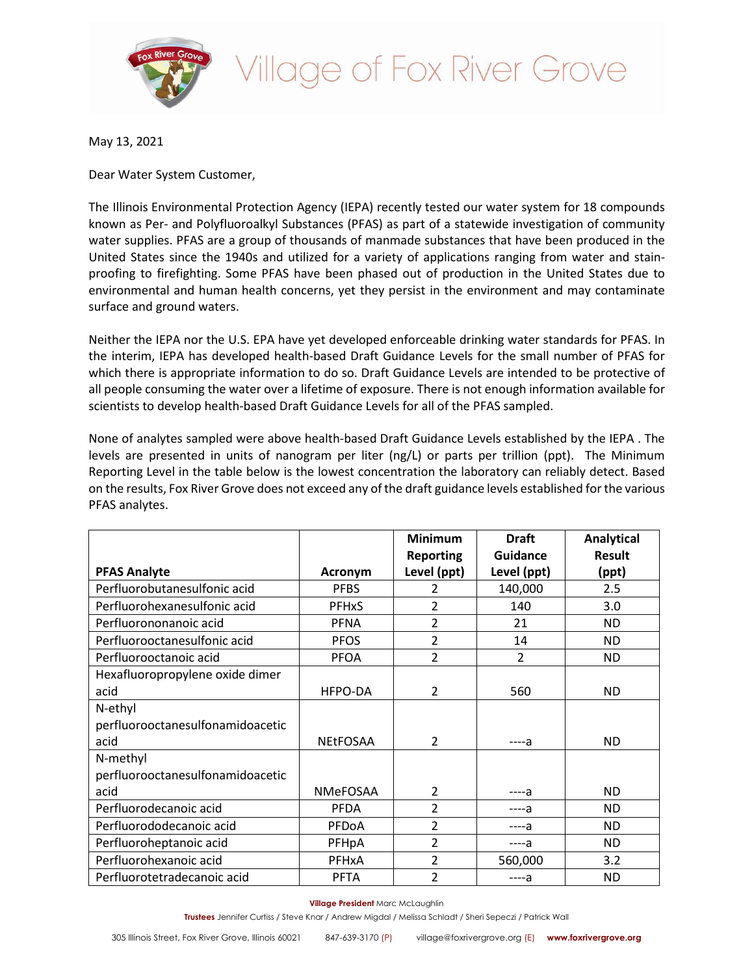

# illage of Fox River Grove

May 13, 2021

Dear Water System Customer,

The Illinois Environmental Protection Agency (IEPA) recently tested our water system for 18 compounds known as Per- and Polyfluoroalkyl Substances (PFAS) as part of a statewide investigation of community water supplies. PFAS are a group of thousands of manmade substances that have been produced in the United States since the 1940s and utilized for a variety of applications ranging from water and stainproofing to firefighting. Some PFAS have been phased out of production in the United States due to environmental and human health concerns, yet they persist in the environment and may contaminate surface and ground waters.

Neither the IEPA nor the U.S. EPA have yet developed enforceable drinking water standards for PFAS. In the interim, IEPA has developed health-based Draft Guidance Levels for the small number of PFAS for which there is appropriate information to do so. Draft Guidance Levels are intended to be protective of all people consuming the water over a lifetime of exposure. There is not enough information available for scientists to develop health-based Draft Guidance Levels for all of the PFAS sampled.

None of analytes sampled were above health-based Draft Guidance Levels established by the IEPA . The levels are presented in units of nanogram per liter (ng/L) or parts per trillion (ppt). The Minimum Reporting Level in the table below is the lowest concentration the laboratory can reliably detect. Based on the results, Fox River Grove does not exceed any of the draft guidance levels established forthe various PFAS analytes.

|                                  |                 | <b>Minimum</b><br><b>Reporting</b> | <b>Draft</b><br>Guidance | <b>Analytical</b><br><b>Result</b> |
|----------------------------------|-----------------|------------------------------------|--------------------------|------------------------------------|
| <b>PFAS Analyte</b>              | Acronym         | Level (ppt)                        | Level (ppt)              | (ppt)                              |
| Perfluorobutanesulfonic acid     | <b>PFBS</b>     | 2                                  | 140,000                  | 2.5                                |
| Perfluorohexanesulfonic acid     | <b>PFHxS</b>    | 2                                  | 140                      | 3.0                                |
| Perfluorononanoic acid           | <b>PFNA</b>     | 2                                  | 21                       | <b>ND</b>                          |
| Perfluorooctanesulfonic acid     | <b>PFOS</b>     | 2                                  | 14                       | <b>ND</b>                          |
| Perfluorooctanoic acid           | <b>PFOA</b>     | $\overline{2}$                     | $\overline{\mathcal{L}}$ | ND.                                |
| Hexafluoropropylene oxide dimer  |                 |                                    |                          |                                    |
| acid                             | HFPO-DA         | $\overline{2}$                     | 560                      | <b>ND</b>                          |
| N-ethyl                          |                 |                                    |                          |                                    |
| perfluorooctanesulfonamidoacetic |                 |                                    |                          |                                    |
| acid                             | <b>NEtFOSAA</b> | $\mathcal{P}$                      | ----а                    | <b>ND</b>                          |
| N-methyl                         |                 |                                    |                          |                                    |
| perfluorooctanesulfonamidoacetic |                 |                                    |                          |                                    |
| acid                             | NMeFOSAA        | $\overline{2}$                     | ----а                    | <b>ND</b>                          |
| Perfluorodecanoic acid           | <b>PFDA</b>     | $\overline{2}$                     | ----a                    | <b>ND</b>                          |
| Perfluorododecanoic acid         | PFDoA           | $\overline{2}$                     | ----a                    | <b>ND</b>                          |
| Perfluoroheptanoic acid          | PFHpA           | $\overline{2}$                     | ----а                    | <b>ND</b>                          |
| Perfluorohexanoic acid           | PFHxA           | 2                                  | 560,000                  | 3.2                                |
| Perfluorotetradecanoic acid      | <b>PFTA</b>     | 2                                  | ----a                    | <b>ND</b>                          |

**Village President** Marc McLaughlin

**Trustees** Jennifer Curtiss / Steve Knar / Andrew Migdal / Melissa Schladt / Sheri Sepeczi / Patrick Wall